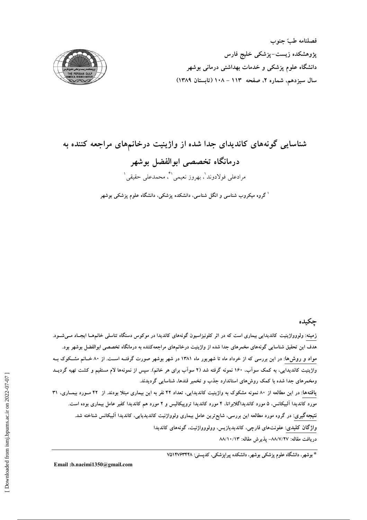

# شناسایی گونههای کاندیدای جدا شده از واژینیت درخانمهای مراجعه کننده به درمانگاه تخصصی ابوالفضل بوشهر مرادعلى فولادوند'، بهروز نعيمي'\*، محمدعلى حقيقى' <sup>ا</sup> گروه میکروب شناسی و انگل شناسی، دانشکده پزشکی، دانشگاه علوم پزشکی بوشهر

## چکیده

زمینه: ولووواژینیت کاندیدایی بیماری است که در اثر کلونیزاسیون گونههای کاندیدا در موکوس دستگاه تناسلی خانمهـا ایجـاد مــیشــود. هدف این تحقیق شناسایی گونههای مخمرهای جدا شده از واژینیت درخانمهای مراجعهکننده به درمانگاه تخصصی ابوالفضل بوشهر بود. مواد و روش۵ا: در این بررسی که از خرداد ماه تا شهریور ماه ۱۳۸۱ در شهر بوشهر صورت گرفتـه اسـت. از ۸۰ خـانم مشـکوک بــه واژینیت کاندیدایی، به کمک سواَب، ۱۶۰ نمونه گرفته شد (۲ سواَب برای هر خانم). سپس از نمونهها لام مستقیم و کشت تهیه گردیــد ومخمرهای جدا شده با کمک روش۵ای استاندارد جذب و تخمیر قندها، شناسایی گردیدند. یافتهها: در این مطالعه از ۸۰ نمونه مشکوک به واژینیت کاندیدایی، تعداد ۴۲ نفر به این بیماری مبتلا بودند. از ۴۲ سورد بیمـاری، ۳۱ مورد کاندیدا آلبیکانس، ۵ مورد کاندیداگلابراتا، ۴ مورد کاندیدا تروپیکالیس و ۲ مورد هم کاندیدا کفیر عامل بیماری بوده است. نتیجهگیری: در گروه مورد مطالعه این بررسی، شایع ترین عامل بیماری ولوواژنیت کاندیدیایی، کاندیدا آلبیکانس شناخته شد. واژگان کلیدی: عفونتهای قارچی، کاندیدیازیس، وولووواژنیت، گونههای کاندیدا دريافت مقاله: ٨٨/٧/٢٧- پذيرش مقاله: ٨٨/١٠/١٣

\* بوشهر، دانشگاه علوم پزشکی بوشهر، دانشکده پیراپزشکی، کدپستی: ۷۵۱۴۷۶۳۴۴۸

Email: b.naeimi1350@gmail.com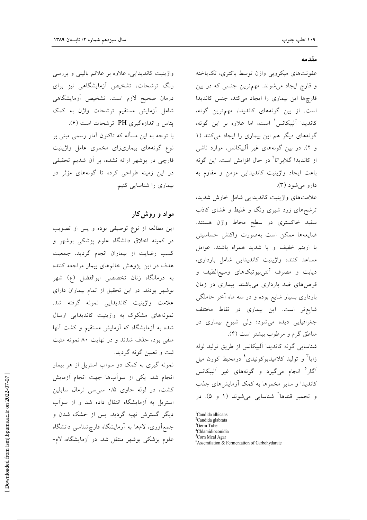واژینیت کاندیدایی، علاوه بر علائم بالینی و بررسی رنگ ترشحات، تشخیص آزمایشگاهی نیز برای درمان صحيح لازم است. تشخيص آزمايشگاهي شامل آزمایش مستقیم ترشحات واژن به کمک پتاس و اندازهگیری PH ترشحات است (۶). با توجه به این مسأله که تاکنون آمار رسمی مبنی بر نوع گونههای بیماریزای مخمری عامل واژینیت قارچی در بوشهر ارائه نشده، بر آن شدیم تحقیقی در این زمینه طراحی کرده تا گونههای مؤثر در بیماری را شناسایی کنیم.

# مواد و روش کار

این مطالعه از نوع توصیفی بوده و پس از تصویب در کمیته اخلاق دانشگاه علوم پزشکی بوشهر و كسب رضايت از بيماران انجام گرديد. جمعيت هدف در این پژوهش خانمهای بیمار مراجعه کننده به درمانگاه زنان تخصصی ابوالفضل (ع) شهر بوشهر بودند. در این تحقیق از تمام بیماران دارای علامت واژینیت کاندیدایی نمونه گرفته شد. نمونههای مشکوک به واژینیت کاندیدایی ارسال شده به آزمایشگاه که آزمایش مستقیم و کشت آنها منفی بود، حذف شدند و در نهایت ۸۰ نمونه مثبت ثبت و تعیین گونه گردید.

نمونه گیری به کمک دو سواب استریل از هر بیمار انجام شد. یکی از سوابها جهت انجام آزمایش کشت، در لوله حاوی ۰/۵ سی سی نرمال سایلین استریل به آزمایشگاه انتقال داده شد و از سوآب دیگر گسترش تهیه گردید. پس از خشک شدن و جمع آوری، لامها به آزمایشگاه قارچ شناسی دانشگاه علوم پزشکی بوشهر منتقل شد. در آزمایشگاه، لام-

#### مقدمه

عفونتهای میکروبی واژن توسط باکتری، تک یاخته و قارچ ایجاد میشوند. مهمترین جنسی که در بین قارچها این بیماری را ایجاد میکند، جنس کاندیدا است. از بین گونههای کاندیدا، مهمترین گونه، كانديدا آلبيكانس' است، اما علاوه بر اين گونه، گونههای دیگر هم این بیماری را ایجاد میکنند (۱ و ۲). در بین گونههای غیر آلبیکانس، موارد ناشی از کاندیدا گلابراتا<sup>۲</sup> در حال افزایش است. این گونه باعث ايجاد واژينيت كانديدايي مزمن و مقاوم به دارو مي شود (٣).

علامتهای واژینیت کاندیدایی شامل خارش شدید، ترشحهای زرد شیری رنگ و غلیظ و غشای کاذب سفید خاکستری در سطح مخاط واژن هستند. ضايعهها ممكن است بهصورت واكنش حساسيتى با اریتم خفیف و یا شدید همراه باشند. عوامل مساعد کننده واژینیت کاندیدایی شامل بارداری، دیابت و مصرف آنتی بیوتیکهای وسیع الطیف و قرصهای ضد بارداری میباشند. بیماری در زمان بارداری بسیار شایع بوده و در سه ماه آخر حاملگی شایع تر است. این بیماری در نقاط مختلف جغرافیایی دیده میشود؛ ولی شیوع بیماری در مناطق گرم و مرطوب بیشتر است (۴).

شناسایی گونه کاندیدا آلبیکانس از طریق تولید لوله زایا<sup>۳</sup> و تولید کلامیدیوکونیدی<sup>،</sup> درمحیط کورن میل آگار<sup>ه</sup> انجام میگیرد و گونههای غیر آلبیکانس کاندیدا و سایر مخمرها به کمک آزمایشهای جذب و تخمیر قندها<sup>7</sup> شناسای<sub>ی</sub> میشوند (۱ و ۵). در

<sup>1</sup>Candida albicans

<sup>4</sup>Chlamidioconidia

<sup>&</sup>lt;sup>2</sup>Candida glabrata <sup>3</sup>Germ Tube

<sup>&</sup>lt;sup>5</sup>Corn Meal Agar

<sup>&</sup>lt;sup>6</sup>Assemilation & Fermentation of Carbohydarate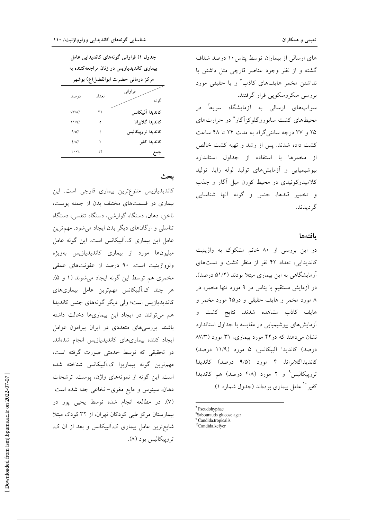های ارسالی از بیماران توسط پتاس ۱۰ درصد شفاف گشته و از نظر وجود عناصر قارچی مثل داشتن یا نداشتن مخمر هایفهای کاذب<sup>۷</sup> و یا حقیقی مورد بررسی میکروسکوپی قرار گرفتند. سواَبهای ارسالی به اَزمایشگاه سریعاً در محیطهای کشت سابوروگلوکزاگار^ در حرارتهای ۲۵ و ۳۷ درجه سانتی گراد به مدت ۲۴ تا ۴۸ ساعت كشت داده شدند. يس از رشد و تهيه كشت خالص از مخمرها با استفاده از جداول استاندارد بیوشیمیایی و آزمایشهای تولید لوله زایا، تولید کلامیدوکونیدی در محیط کورن میل آگار و جذب و تخمير قندها، جنس و گونه آنها شناسايي گر ديدند.

#### بافتهها

در این بررسی از ۸۰ خانم مشکوک به واژینیت کاندیدایی، تعداد ۴۲ نفر از منظر کشت و تستهای آزمایشگاهی به این بیماری مبتلا بودند (۵۱/۲ درصد). در آزمایش مستقیم با پتاس در ۹ مورد تنها مخمر، در ۸ مورد مخمر و هایف حقیقی و در۲۵ مورد مخمر و هايف كاذب مشاهده شدند. نتايج كشت و آزمایشهای بیوشیمیایی در مقایسه با جداول استاندارد نشان می دهند که در ۴۲ مورد بیماری، ۳۱ مورد (۸۷/۳ درصد) كانديدا آلبيكانس، ۵ مورد (۱۱/۹ درصد) کاندیداگلابراتا، ۴ مورد (۹/۵ درصد) کاندیدا تروییکالیس ْ و ۲ مورد (۴/۸ درصد) هم کاندیدا كفير `` عامل بيماري بودهاند (جدول شماره ۱).

7 Pseudohyphae

جدول ۱) فراوانی گونههای کاندیدایی عامل بیماری کاندیدیازیس در زنان مراجعهکننده به مركز درماني حضرت ابوالفضل(ع) بوشهر

| . .<br>└ ∽    |       |                    |
|---------------|-------|--------------------|
| درصد          | تعداد | فراواني<br>گو نه   |
| $VT/\Lambda'$ | ٣١    | كانديدا آلييكانس   |
| 11/9%         | ٥     | كانديدا گلابراتا   |
| 9/0'.         | ٤     | كانديدا تروپيكاليس |
| $2/\lambda$ % | ۲     | كانديدا كفير       |
| $\cdots$      | ٤٢    |                    |

### بحث

کاندیدیازیس متنوعترین بیماری قارچی است. این بیماری در قسمتهای مختلف بدن از جمله پوست، ناخن، دهان، دستگاه گوارشی، دستگاه تنفسی، دستگاه تناسلی و ارگانهای دیگر بدن ایجاد می شود. مهم ترین عامل این بیماری ک.آلبیکانس است. این گونه عامل میلیونها مورد از بیماری کاندیدیازیس بهویژه ولوواژینیت است. ۹۰ درصد از عفونتهای عمقی مخمري هم توسط اين گونه ايجاد مي شوند (١ و ۵). هر چند ک.آلبیکانس مهمترین عامل بیماریهای کاندیدیازیس است؛ ولی دیگر گونههای جنس کاندیدا هم می توانند در ایجاد این بیماریها دخالت داشته باشند. بررسیهای متعددی در ایران پیرامون عوامل ايجاد كننده بيمارىهاى كانديديازيس انجام شدهاند. در تحقیقی که توسط خدمتی صورت گرفته است، مهم ترین گونه بیماریزا ک.آلبیکانس شناخته شده است. این گونه از نمونههای واژن، پوست، ترشحات دهان، سینوس و مایع مغزی– نخاعی جدا شده است (۷). در مطالعه انجام شده توسط يحيى پور در بیمارستان مرکز طبی کودکان تهران، از ۳۲ کودک مبتلا شایع ترین عامل بیماری ک.آلبیکانس و بعد از آن ک. تروپيکاليس بود (۸).

<sup>&</sup>lt;sup>8</sup>Sabourauds glucose agar

<sup>&</sup>lt;sup>9</sup> Candida.tropicalis<br><sup>10</sup>Candida.kefyer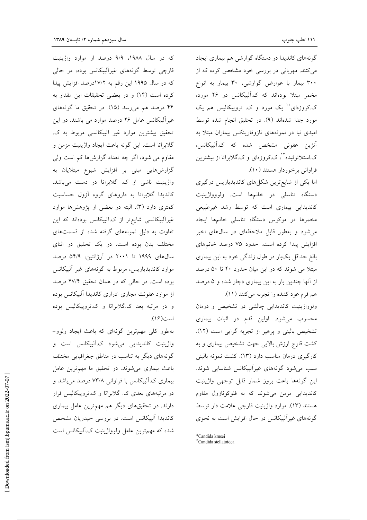گونههای کاندیدا در دستگاه گوارشی هم بیماری ایجاد می کنند. مهربانی در بررسی خود مشخص کرده که از ۳۰۰ بیمار با عوارض گوارشی، ۳۰ بیمار به انواع مخمر مبتلا بودهاند که ک.آلبیکانس در ۲۶ مورد، ک.کروزهای'' یک مورد و ک. تروپیکالیس هم یک مورد جدا شدهاند (۹). در تحقیق انجام شده توسط امیدی نیا در نمونههای نازوفارینکس بیماران مبتلا به آنژین عفونی مشخص شده که ک.آلبیکانس، ک.استلاتوئیده<sup>۱۲</sup>، ک.کروزهای و ک.گلابراتا از بیشترین فراواني برخوردار هستند (١٠).

اما یکی از شایع ترین شکلهای کاندیدیازیس درگیری دستگاه تناسلی در خانمها است. ولووواژینیت کاندیدایی بیماری است که توسط رشد غیرطبیعی مخمرها در موکوس دستگاه تناسلی خانمها ایجاد می شود و بهطور قابل ملاحظهای در سال های اخیر افزایش پیدا کرده است. حدود ۷۵ درصد خانمهای بالغ حداقل یکبار در طول زندگی خود به این بیماری مبتلا می شوند که در این میان حدود ۴۰ تا ۵۰ درصد از آنها چندین بار به این بیماری دچار شده و ۵ درصد هم فرم عود كننده را تجربه مي كنند (١١).

ولوواژینیت کاندیدایی چالشی در تشخیص و درمان محسوب میشود. اولین قدم در اثبات بیماری تشخیص بالینی و پرهیز از تجربه گرایی است (١٢). کشت قارچ ارزش بالایی جهت تشخیص بیماری و به کارگیری درمان مناسب دارد (١٣). کشت نمونه بالینی سبب می شود گونههای غیرآلبیکانس شناسایی شوند. این گونهها باعث بروز شمار قابل توجهی واژینیت کاندیدایی مزمن میشوند که به فلوکونازول مقاوم هستند (١٣). موارد واژينيت قارچي علامت دار توسط گونههای غیرآلبیکانس در حال افزایش است به نحوی

که در سال ۱۹۸۸، ۹/۹ درصد از موارد واژینیت قارچی توسط گونههای غیرآلبیکانس بوده، در حالی که در سال ۱۹۹۵ این رقم به ۱۷/۲درصد افزایش پیدا كرده است (١۴) و در بعضى تحقيقات اين مقدار به ۴۴ درصد هم میرسد (۱۵). در تحقیق ما گونههای غیرآلبیکانس عامل ۲۶ درصد موارد می باشند. در این تحقیق بیشترین موارد غیر آلبیکانسی مربوط به ک. گلابراتا است. این گونه باعث ایجاد واژینیت مزمن و مقاوم می شود، اگر چه تعداد گزارشها کم است ولی گزارشهایی مبنی بر افزایش شیوع مبتلایان به واژینیت ناشی از ک. گلابراتا در دست میباشد. کاندیدا گلابراتا به داروهای گروه آزول حساسیت کمتری دارد (۳). البته در بعضی از پژوهشها موارد غیرآلبیکانسی شایع تر از ک.آلبیکانس بودهاند که این تفاوت به دلیل نمونههای گرفته شده از قسمتهای مختلف بدن بوده است. در یک تحقیق در اثنای سالهای ۱۹۹۹ تا ۲۰۰۱ در آرژانتین، ۵۴/۹ درصد موارد کاندیدیازیس، مربوط به گونههای غیر آلبیکانس بوده است. در حالی که در همان تحقیق ۴۷/۴ درصد از موارد عفونت مجاری ادراری کاندیدا آلبیکانس بوده و در مرتبه بعد ک.گلابراتا و ک.تروییکالیس بوده است(۱۶).

بهطور کلی مهم ترین گونهای که باعث ایجاد ولوو-واژینیت کاندیدایی می شود ک.آلبیکانس است و گونههای دیگر به تناسب در مناطق جغرافیایی مختلف باعث بیماری می شوند. در تحقیق ما مهم ترین عامل بیماری ک.آلبیکانس با فراوانی ۷۳/۸ درصد میباشد و در مرتبههای بعدی ک. گلابراتا و ک.تروپیکالیس قرار دارند. در تحقیقهای دیگر هم مهمترین عامل بیماری کاندیدا آلبیکانس است. در بررسی حیدریان مشخص شده که مهمترین عامل ولوواژینیت ک.آلبیکانس است

<sup>&</sup>lt;sup>11</sup>Candida krusei

<sup>&</sup>lt;sup>12</sup>Candida stellatoidea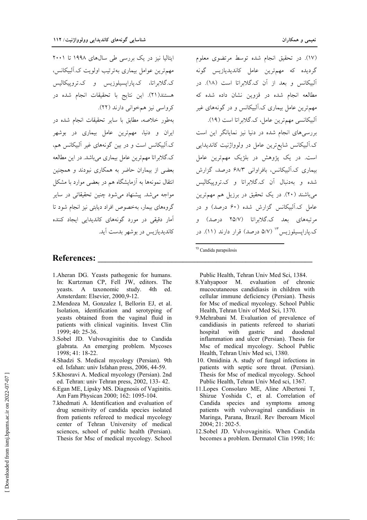ایتالیا نیز در یک بررسی طی سالهای ۱۹۹۸ تا ۲۰۰۱ مهم ترین عوامل بیماری به ترتیب اولویت ک.آلبیکانس، ک.گلابراتا، ک.پاراپسیلوزیس و ک.تروپیکالیس هستند(٢١). اين نتايج با تحقيقات انجام شده در كرواسي نيز همخواني دارند (٢٢). بهطور خلاصه، مطابق با سایر تحقیقات انجام شده در ایران و دنیا، مهمترین عامل بیماری در بوشهر ک.آلبیکانس است و در بین گونههای غیر آلبیکانس هم، ک.گلابراتا مهمترین عامل بیماری میباشد. در این مطالعه

بعضی از بیماران حاضر به همکاری نبودند و همچنین انتقال نمونهها به آزمایشگاه هم در بعضی موارد با مشکل مواجه مي شد. پيشنهاد مي شود چنين تحقيقاتي در ساير گروههای بیمار، بهخصوص افراد دیابتی نیز انجام شود تا ۔<br>آمار دقیقی در مورد گونههای کاندیدایی ایجاد کننده كانديديازيس در بوشهر بدست آيد.

#### **References:**

- 1. Aheran DG. Yeasts pathogenic for humans. In: Kurtzman CP, Fell JW, editors. The yeasts. A taxonomic study. 4th ed Amsterdam: Elsevier, 2000,9-12.
- 2. Mendoza M, Gonzalez I, Bellorin EJ, et al. Isolation, identification and serotyping of yeasts obtained from the vaginal fluid in patients with clinical vaginitis. Invest Clin 1999; 40: 25-36.
- 3.Sobel JD. Vulvovaginitis due to Candida glabrata. An emerging problem. Mycoses 1998; 41: 18-22.
- 4. Shadzi S. Medical mycology (Persian). 9th ed. Isfahan: univ Isfahan press, 2006, 44-59.
- 5. Khosravi A. Medical mycology (Persian). 2nd ed. Tehran: univ Tehran press, 2002, 133-42.
- 6. Egan ME, Lipsky MS. Diagnosis of Vaginitis. Am Fam Physican 2000; 162: 1095-104.
- 7.khedmati A. Identification and evaluation of drug sensitivity of candida species isolated from patients refereed to medical mycology center of Tehran University of medical sciences, school of public health (Persian). Thesis for Msc of medical mycology. School

(١٧). در تحقیق انجام شده توسط مرتضوی معلوم گرديده كه مهمترين عامل كانديديازيس گونه آلبیکانس و بعد از آن ک.گلابراتا است (۱۸). در مطالعه انجام شده در قزوین نشان داده شده که مهمترین عامل بیماری ک.آلبیکانس و در گونههای غیر ألبيكانسي مهمترين عامل، ك.گلابراتا است (١٩). بررسی های انجام شده در دنیا نیز نمایانگر این است ک.آلبيکانس شايع ترين عامل در ولوواژنيت کانديدايي است. در یک پژوهش در بلژیک مهمترین عامل بیماری ک.آلبیکانس، بافراوانی ۶۸/۳ درصد، گزارش .<br>شده و بهدنبال آن ک.گلابراتا و ک.تروییکالیس م باشند (۲۰). در یک تحقیق در برزیل هم مهمترین عامل ک.آلسکانس گزارش شده (۶۰ درصد) و در مرتبههای بعد ک.گلابراتا (۲۵/۷ درصد) و ک.یارایسیلوزیس<sup>۱۳</sup> (۵/۷ درصد) قرار دارند (۱۱). در

<sup>13</sup> Candida parapsilosis

Public Health, Tehran Univ Med Sci, 1384.

- 8. Yahyapoor M. evaluation of chronic mucocutaneous candidiasis in children with cellular immune deficiency (Persian). Thesis for Msc of medical mycology. School Public Health, Tehran Univ of Med Sci, 1370.
- 9. Mehrabani M. Evaluation of prevalence of candidiasis in patients refereed to shariati with gastric and duodenal hospital inflammation and ulcer (Persian). Thesis for Msc of medical mycology. School Public Health, Tehran Univ Med sci, 1380.
- 10. Omidinia A. study of fungal infections in patients with septic sore throat. (Persian). Thesis for Msc of medical mycology. School Public Health, Tehran Univ Med sci, 1367.
- 11. Lopes Consolaro ME, Aline Albertoni T, Shizue Yoshida C, et al. Correlation of Candida species and symptoms among patients with vulvovaginal candidiasis in Maringa, Parana, Brazil. Rev Iberoam Micol 2004; 21: 202-5.
- 12. Sobel JD. Vulvovaginitis. When Candida becomes a problem. Dermatol Clin 1998; 16: